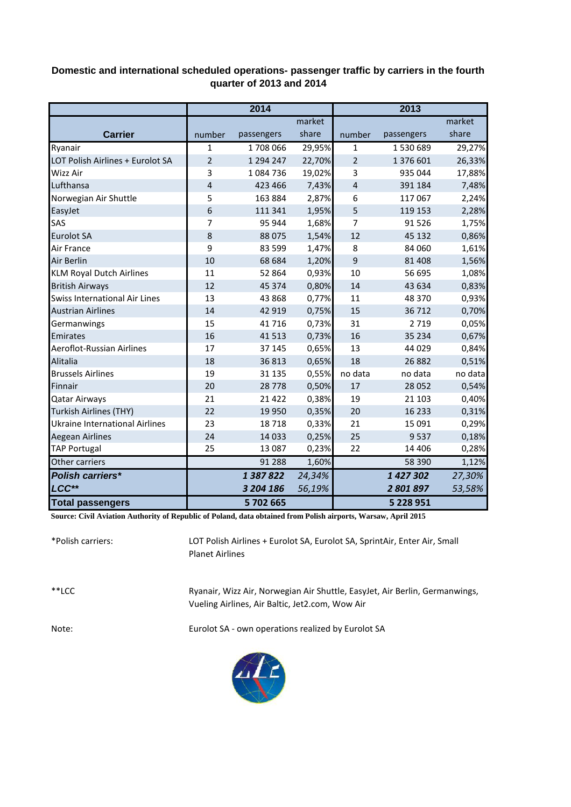## **Domestic and international scheduled operations- passenger traffic by carriers in the fourth quarter of 2013 and 2014**

|                                       | 2014           |            |        | 2013           |            |         |
|---------------------------------------|----------------|------------|--------|----------------|------------|---------|
|                                       |                |            | market |                |            | market  |
| <b>Carrier</b>                        | number         | passengers | share  | number         | passengers | share   |
| Ryanair                               | $\mathbf{1}$   | 1708066    | 29,95% | $\mathbf{1}$   | 1530689    | 29,27%  |
| LOT Polish Airlines + Eurolot SA      | $\overline{2}$ | 1 294 247  | 22,70% | $\overline{2}$ | 1 376 601  | 26,33%  |
| <b>Wizz Air</b>                       | 3              | 1084736    | 19,02% | 3              | 935 044    | 17,88%  |
| Lufthansa                             | 4              | 423 466    | 7,43%  | $\overline{4}$ | 391 184    | 7,48%   |
| Norwegian Air Shuttle                 | 5              | 163 884    | 2,87%  | 6              | 117 067    | 2,24%   |
| EasyJet                               | 6              | 111 341    | 1,95%  | 5              | 119 153    | 2,28%   |
| SAS                                   | 7              | 95 944     | 1,68%  | 7              | 91 5 26    | 1,75%   |
| <b>Eurolot SA</b>                     | 8              | 88 0 75    | 1,54%  | 12             | 45 132     | 0,86%   |
| Air France                            | 9              | 83 599     | 1,47%  | 8              | 84 060     | 1,61%   |
| Air Berlin                            | 10             | 68 684     | 1,20%  | 9              | 81 40 8    | 1,56%   |
| <b>KLM Royal Dutch Airlines</b>       | 11             | 52 864     | 0,93%  | 10             | 56 695     | 1,08%   |
| <b>British Airways</b>                | 12             | 45 3 7 4   | 0,80%  | 14             | 43 634     | 0,83%   |
| <b>Swiss International Air Lines</b>  | 13             | 43 868     | 0,77%  | 11             | 48 370     | 0,93%   |
| <b>Austrian Airlines</b>              | 14             | 42 919     | 0,75%  | 15             | 36 712     | 0,70%   |
| Germanwings                           | 15             | 41716      | 0,73%  | 31             | 2 7 1 9    | 0,05%   |
| Emirates                              | 16             | 41 5 13    | 0,73%  | 16             | 35 2 34    | 0,67%   |
| Aeroflot-Russian Airlines             | 17             | 37 145     | 0,65%  | 13             | 44 0 29    | 0,84%   |
| Alitalia                              | 18             | 36813      | 0,65%  | 18             | 26 8 82    | 0,51%   |
| <b>Brussels Airlines</b>              | 19             | 31 1 35    | 0,55%  | no data        | no data    | no data |
| Finnair                               | 20             | 28778      | 0,50%  | 17             | 28 0 52    | 0,54%   |
| <b>Qatar Airways</b>                  | 21             | 21 4 22    | 0,38%  | 19             | 21 103     | 0,40%   |
| <b>Turkish Airlines (THY)</b>         | 22             | 19 9 50    | 0,35%  | 20             | 16 2 33    | 0,31%   |
| <b>Ukraine International Airlines</b> | 23             | 18718      | 0,33%  | 21             | 15 091     | 0,29%   |
| Aegean Airlines                       | 24             | 14 0 33    | 0,25%  | 25             | 9537       | 0,18%   |
| <b>TAP Portugal</b>                   | 25             | 13 087     | 0,23%  | 22             | 14 4 06    | 0,28%   |
| Other carriers                        |                | 91 288     | 1,60%  |                | 58 390     | 1,12%   |
| <b>Polish carriers*</b>               |                | 1387822    | 24,34% |                | 1 427 302  | 27,30%  |
| LCC**                                 |                | 3 204 186  | 56,19% |                | 2801897    | 53,58%  |
| <b>Total passengers</b>               |                | 5702665    |        |                | 5 228 951  |         |

**Source: Civil Aviation Authority of Republic of Poland, data obtained from Polish airports, Warsaw, April 2015**

| *Polish carriers: | LOT Polish Airlines + Eurolot SA, Eurolot SA, SprintAir, Enter Air, Small<br><b>Planet Airlines</b>                            |
|-------------------|--------------------------------------------------------------------------------------------------------------------------------|
| $**$ LCC          | Ryanair, Wizz Air, Norwegian Air Shuttle, EasyJet, Air Berlin, Germanwings,<br>Vueling Airlines, Air Baltic, Jet2.com, Wow Air |
| Note:             | Eurolot SA - own operations realized by Eurolot SA                                                                             |